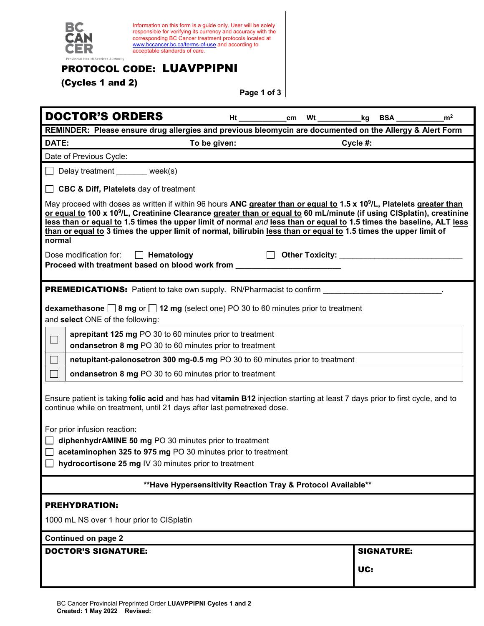

Information on this form is a guide only. User will be solely responsible for verifying its currency and accuracy with the corresponding BC Cancer treatment protocols located at [www.bccancer.bc.ca/terms-of-use](http://www.bccancer.bc.ca/terms-of-use) and according to acceptable standards of care.

## PROTOCOL CODE: LUAVPPIPNI

(Cycles 1 and 2)

**Page 1 of 3**

| <b>DOCTOR'S ORDERS</b><br><b>Ht</b> and the second second second second second second second second second second second second second second second second second second second second second second second second second second second second second second<br>cm                                                                                                                                                                                                                                                           | BSA<br>_kg        | m <sup>2</sup> |  |  |
|-------------------------------------------------------------------------------------------------------------------------------------------------------------------------------------------------------------------------------------------------------------------------------------------------------------------------------------------------------------------------------------------------------------------------------------------------------------------------------------------------------------------------------|-------------------|----------------|--|--|
| REMINDER: Please ensure drug allergies and previous bleomycin are documented on the Allergy & Alert Form                                                                                                                                                                                                                                                                                                                                                                                                                      |                   |                |  |  |
| DATE:<br>To be given:                                                                                                                                                                                                                                                                                                                                                                                                                                                                                                         | Cycle #:          |                |  |  |
| Date of Previous Cycle:                                                                                                                                                                                                                                                                                                                                                                                                                                                                                                       |                   |                |  |  |
| Delay treatment _______ week(s)                                                                                                                                                                                                                                                                                                                                                                                                                                                                                               |                   |                |  |  |
| <b>CBC &amp; Diff, Platelets</b> day of treatment                                                                                                                                                                                                                                                                                                                                                                                                                                                                             |                   |                |  |  |
| May proceed with doses as written if within 96 hours ANC greater than or equal to 1.5 x 10 <sup>9</sup> /L, Platelets greater than<br>or equal to 100 x 10 <sup>9</sup> /L, Creatinine Clearance greater than or equal to 60 mL/minute (if using CISplatin), creatinine<br>less than or equal to 1.5 times the upper limit of normal and less than or equal to 1.5 times the baseline, ALT less<br>than or equal to 3 times the upper limit of normal, bilirubin less than or equal to 1.5 times the upper limit of<br>normal |                   |                |  |  |
| Dose modification for:<br>$\Box$ Hematology<br>Other Toxicity: <b>Communist Contract Control</b><br>Proceed with treatment based on blood work from                                                                                                                                                                                                                                                                                                                                                                           |                   |                |  |  |
| <b>PREMEDICATIONS:</b> Patient to take own supply. RN/Pharmacist to confirm                                                                                                                                                                                                                                                                                                                                                                                                                                                   |                   |                |  |  |
| dexamethasone $\Box$ 8 mg or $\Box$ 12 mg (select one) PO 30 to 60 minutes prior to treatment<br>and select ONE of the following:                                                                                                                                                                                                                                                                                                                                                                                             |                   |                |  |  |
| aprepitant 125 mg PO 30 to 60 minutes prior to treatment<br>$\Box$<br>ondansetron 8 mg PO 30 to 60 minutes prior to treatment                                                                                                                                                                                                                                                                                                                                                                                                 |                   |                |  |  |
| netupitant-palonosetron 300 mg-0.5 mg PO 30 to 60 minutes prior to treatment                                                                                                                                                                                                                                                                                                                                                                                                                                                  |                   |                |  |  |
| ondansetron 8 mg PO 30 to 60 minutes prior to treatment<br>$\Box$                                                                                                                                                                                                                                                                                                                                                                                                                                                             |                   |                |  |  |
| Ensure patient is taking folic acid and has had vitamin B12 injection starting at least 7 days prior to first cycle, and to<br>continue while on treatment, until 21 days after last pemetrexed dose.                                                                                                                                                                                                                                                                                                                         |                   |                |  |  |
| For prior infusion reaction:<br>diphenhydrAMINE 50 mg PO 30 minutes prior to treatment<br>$\perp$<br>acetaminophen 325 to 975 mg PO 30 minutes prior to treatment<br>Ш<br>$\Box$ hydrocortisone 25 mg IV 30 minutes prior to treatment                                                                                                                                                                                                                                                                                        |                   |                |  |  |
| ** Have Hypersensitivity Reaction Tray & Protocol Available**                                                                                                                                                                                                                                                                                                                                                                                                                                                                 |                   |                |  |  |
| <b>PREHYDRATION:</b>                                                                                                                                                                                                                                                                                                                                                                                                                                                                                                          |                   |                |  |  |
| 1000 mL NS over 1 hour prior to CISplatin                                                                                                                                                                                                                                                                                                                                                                                                                                                                                     |                   |                |  |  |
| <b>Continued on page 2</b>                                                                                                                                                                                                                                                                                                                                                                                                                                                                                                    |                   |                |  |  |
| <b>DOCTOR'S SIGNATURE:</b>                                                                                                                                                                                                                                                                                                                                                                                                                                                                                                    | <b>SIGNATURE:</b> |                |  |  |
|                                                                                                                                                                                                                                                                                                                                                                                                                                                                                                                               | UC:               |                |  |  |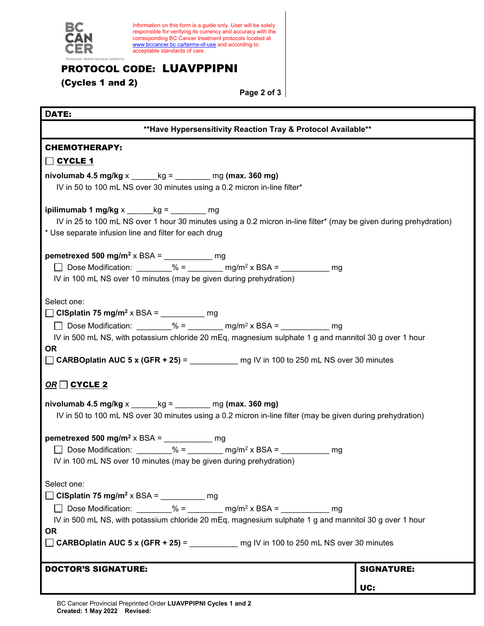

Information on this form is a guide only. User will be solely responsible for verifying its currency and accuracy with the corresponding BC Cancer treatment protocols located at [www.bccancer.bc.ca/terms-of-use](http://www.bccancer.bc.ca/terms-of-use) and according to acceptable standards of care.

## PROTOCOL CODE: LUAVPPIPNI

(Cycles 1 and 2)

**Page 2 of 3**

| DATE:                                                                                                                                                                                                                                                                                                                                                                                                |                          |  |
|------------------------------------------------------------------------------------------------------------------------------------------------------------------------------------------------------------------------------------------------------------------------------------------------------------------------------------------------------------------------------------------------------|--------------------------|--|
| ** Have Hypersensitivity Reaction Tray & Protocol Available**                                                                                                                                                                                                                                                                                                                                        |                          |  |
| <b>CHEMOTHERAPY:</b>                                                                                                                                                                                                                                                                                                                                                                                 |                          |  |
|                                                                                                                                                                                                                                                                                                                                                                                                      |                          |  |
| nivolumab 4.5 mg/kg $x$ $kg =$ $mg$ (max. 360 mg)<br>IV in 50 to 100 mL NS over 30 minutes using a 0.2 micron in-line filter*                                                                                                                                                                                                                                                                        |                          |  |
| ipilimumab 1 mg/kg $x$ _______ kg = _________ mg<br>IV in 25 to 100 mL NS over 1 hour 30 minutes using a 0.2 micron in-line filter* (may be given during prehydration)<br>* Use separate infusion line and filter for each drug                                                                                                                                                                      |                          |  |
| pemetrexed 500 mg/m <sup>2</sup> x BSA = ___________ mg<br>□ Dose Modification: ________% = _______ mg/m <sup>2</sup> x BSA = _________ mg<br>IV in 100 mL NS over 10 minutes (may be given during prehydration)                                                                                                                                                                                     |                          |  |
| Select one:<br>$\Box$ CISplatin 75 mg/m <sup>2</sup> x BSA = __________ mg<br>□ Dose Modification: ________% = _______ mg/m <sup>2</sup> x BSA = __________ mg<br>IV in 500 mL NS, with potassium chloride 20 mEq, magnesium sulphate 1 g and mannitol 30 g over 1 hour<br><b>OR</b><br>□ CARBOplatin AUC 5 x (GFR + 25) = _____________ mg IV in 100 to 250 mL NS over 30 minutes                   |                          |  |
| $OR \square$ CYCLE 2                                                                                                                                                                                                                                                                                                                                                                                 |                          |  |
| nivolumab 4.5 mg/kg $x$ $\qquad$ kg = $\qquad$ mg (max. 360 mg)<br>IV in 50 to 100 mL NS over 30 minutes using a 0.2 micron in-line filter (may be given during prehydration)                                                                                                                                                                                                                        |                          |  |
| pemetrexed 500 mg/m <sup>2</sup> x BSA = ____________ mg<br>□ Dose Modification: ________% = _______ mg/m <sup>2</sup> x BSA = ________ mg<br>IV in 100 mL NS over 10 minutes (may be given during prehydration)                                                                                                                                                                                     |                          |  |
| Select one:<br>$\Box$ CISplatin 75 mg/m <sup>2</sup> x BSA = __________ mg<br>□ Dose Modification: $\frac{96}{2}$ = $\frac{1}{2}$ mg/m <sup>2</sup> x BSA = $\frac{1}{2}$ mg<br>IV in 500 mL NS, with potassium chloride 20 mEq, magnesium sulphate 1 g and mannitol 30 g over 1 hour<br><b>OR</b><br>$\Box$ CARBOplatin AUC 5 x (GFR + 25) = ____________ mg IV in 100 to 250 mL NS over 30 minutes |                          |  |
| <b>DOCTOR'S SIGNATURE:</b>                                                                                                                                                                                                                                                                                                                                                                           | <b>SIGNATURE:</b><br>UC: |  |